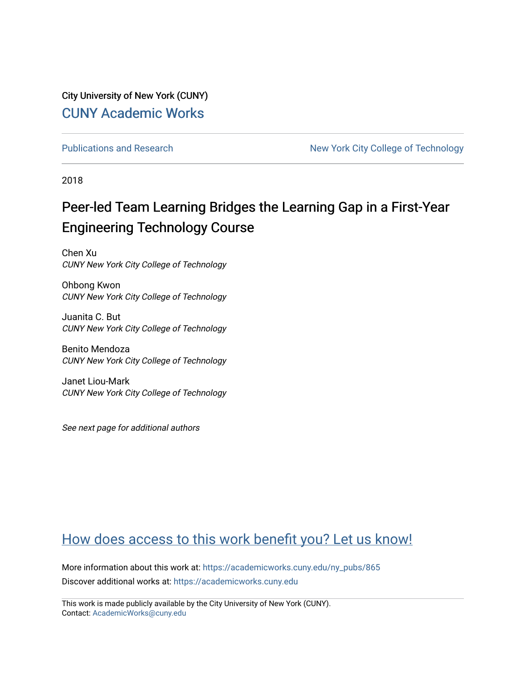City University of New York (CUNY) [CUNY Academic Works](https://academicworks.cuny.edu/) 

[Publications and Research](https://academicworks.cuny.edu/ny_pubs) New York City College of Technology

2018

# Peer-led Team Learning Bridges the Learning Gap in a First-Year Engineering Technology Course

Chen Xu CUNY New York City College of Technology

Ohbong Kwon CUNY New York City College of Technology

Juanita C. But CUNY New York City College of Technology

Benito Mendoza CUNY New York City College of Technology

Janet Liou-Mark CUNY New York City College of Technology

See next page for additional authors

## [How does access to this work benefit you? Let us know!](http://ols.cuny.edu/academicworks/?ref=https://academicworks.cuny.edu/ny_pubs/865)

More information about this work at: [https://academicworks.cuny.edu/ny\\_pubs/865](https://academicworks.cuny.edu/ny_pubs/865)  Discover additional works at: [https://academicworks.cuny.edu](https://academicworks.cuny.edu/?)

This work is made publicly available by the City University of New York (CUNY). Contact: [AcademicWorks@cuny.edu](mailto:AcademicWorks@cuny.edu)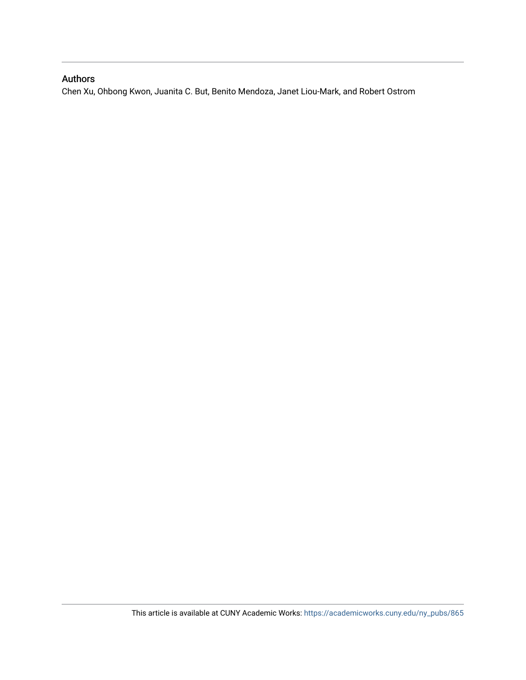## Authors

Chen Xu, Ohbong Kwon, Juanita C. But, Benito Mendoza, Janet Liou-Mark, and Robert Ostrom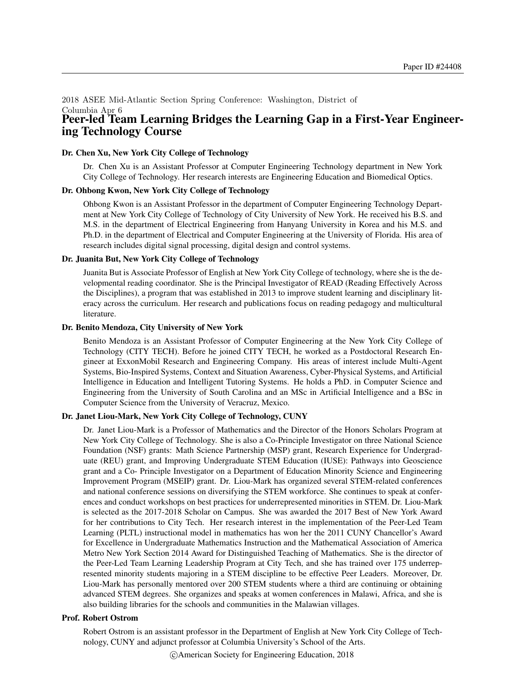### 2018 ASEE Mid-Atlantic Section Spring Conference: Washington, District of Columbia Apr 6 Peer-led Team Learning Bridges the Learning Gap in a First-Year Engineering Technology Course

### Dr. Chen Xu, New York City College of Technology

Dr. Chen Xu is an Assistant Professor at Computer Engineering Technology department in New York City College of Technology. Her research interests are Engineering Education and Biomedical Optics.

### Dr. Ohbong Kwon, New York City College of Technology

Ohbong Kwon is an Assistant Professor in the department of Computer Engineering Technology Department at New York City College of Technology of City University of New York. He received his B.S. and M.S. in the department of Electrical Engineering from Hanyang University in Korea and his M.S. and Ph.D. in the department of Electrical and Computer Engineering at the University of Florida. His area of research includes digital signal processing, digital design and control systems.

### Dr. Juanita But, New York City College of Technology

Juanita But is Associate Professor of English at New York City College of technology, where she is the developmental reading coordinator. She is the Principal Investigator of READ (Reading Effectively Across the Disciplines), a program that was established in 2013 to improve student learning and disciplinary literacy across the curriculum. Her research and publications focus on reading pedagogy and multicultural literature.

#### Dr. Benito Mendoza, City University of New York

Benito Mendoza is an Assistant Professor of Computer Engineering at the New York City College of Technology (CITY TECH). Before he joined CITY TECH, he worked as a Postdoctoral Research Engineer at ExxonMobil Research and Engineering Company. His areas of interest include Multi-Agent Systems, Bio-Inspired Systems, Context and Situation Awareness, Cyber-Physical Systems, and Artificial Intelligence in Education and Intelligent Tutoring Systems. He holds a PhD. in Computer Science and Engineering from the University of South Carolina and an MSc in Artificial Intelligence and a BSc in Computer Science from the University of Veracruz, Mexico.

### Dr. Janet Liou-Mark, New York City College of Technology, CUNY

Dr. Janet Liou-Mark is a Professor of Mathematics and the Director of the Honors Scholars Program at New York City College of Technology. She is also a Co-Principle Investigator on three National Science Foundation (NSF) grants: Math Science Partnership (MSP) grant, Research Experience for Undergraduate (REU) grant, and Improving Undergraduate STEM Education (IUSE): Pathways into Geoscience grant and a Co- Principle Investigator on a Department of Education Minority Science and Engineering Improvement Program (MSEIP) grant. Dr. Liou-Mark has organized several STEM-related conferences and national conference sessions on diversifying the STEM workforce. She continues to speak at conferences and conduct workshops on best practices for underrepresented minorities in STEM. Dr. Liou-Mark is selected as the 2017-2018 Scholar on Campus. She was awarded the 2017 Best of New York Award for her contributions to City Tech. Her research interest in the implementation of the Peer-Led Team Learning (PLTL) instructional model in mathematics has won her the 2011 CUNY Chancellor's Award for Excellence in Undergraduate Mathematics Instruction and the Mathematical Association of America Metro New York Section 2014 Award for Distinguished Teaching of Mathematics. She is the director of the Peer-Led Team Learning Leadership Program at City Tech, and she has trained over 175 underrepresented minority students majoring in a STEM discipline to be effective Peer Leaders. Moreover, Dr. Liou-Mark has personally mentored over 200 STEM students where a third are continuing or obtaining advanced STEM degrees. She organizes and speaks at women conferences in Malawi, Africa, and she is also building libraries for the schools and communities in the Malawian villages.

#### Prof. Robert Ostrom

Robert Ostrom is an assistant professor in the Department of English at New York City College of Technology, CUNY and adjunct professor at Columbia University's School of the Arts.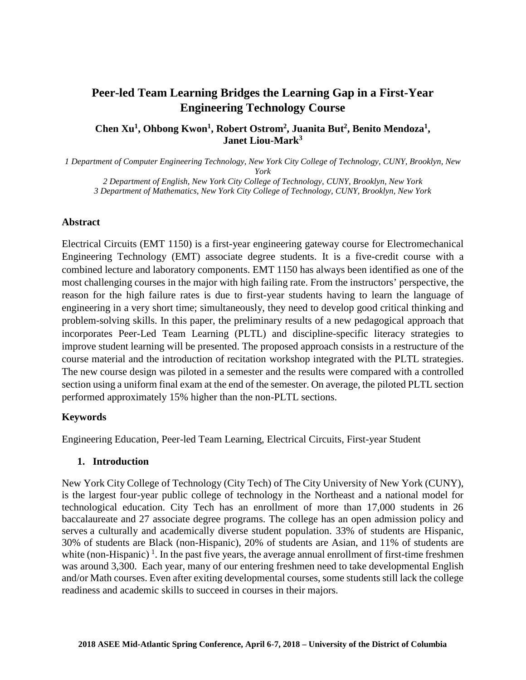## **Peer-led Team Learning Bridges the Learning Gap in a First-Year Engineering Technology Course**

## **Chen Xu<sup>1</sup> , Ohbong Kwon<sup>1</sup> , Robert Ostrom<sup>2</sup> , Juanita But<sup>2</sup> , Benito Mendoza<sup>1</sup> , Janet Liou-Mark<sup>3</sup>**

*1 Department of Computer Engineering Technology, New York City College of Technology, CUNY, Brooklyn, New York*

*2 Department of English, New York City College of Technology, CUNY, Brooklyn, New York 3 Department of Mathematics, New York City College of Technology, CUNY, Brooklyn, New York*

## **Abstract**

Electrical Circuits (EMT 1150) is a first-year engineering gateway course for Electromechanical Engineering Technology (EMT) associate degree students. It is a five-credit course with a combined lecture and laboratory components. EMT 1150 has always been identified as one of the most challenging courses in the major with high failing rate. From the instructors' perspective, the reason for the high failure rates is due to first-year students having to learn the language of engineering in a very short time; simultaneously, they need to develop good critical thinking and problem-solving skills. In this paper, the preliminary results of a new pedagogical approach that incorporates Peer-Led Team Learning (PLTL) and discipline-specific literacy strategies to improve student learning will be presented. The proposed approach consists in a restructure of the course material and the introduction of recitation workshop integrated with the PLTL strategies. The new course design was piloted in a semester and the results were compared with a controlled section using a uniform final exam at the end of the semester. On average, the piloted PLTL section performed approximately 15% higher than the non-PLTL sections.

## **Keywords**

Engineering Education, Peer-led Team Learning, Electrical Circuits, First-year Student

## **1. Introduction**

New York City College of Technology (City Tech) of The City University of New York (CUNY), is the largest four-year public college of technology in the Northeast and a national model for technological education. City Tech has an enrollment of more than 17,000 students in 26 baccalaureate and 27 associate degree programs. The college has an open admission policy and serves a culturally and academically diverse student population. 33% of students are Hispanic, 30% of students are Black (non-Hispanic), 20% of students are Asian, and 11% of students are white (non-Hispanic)<sup>1</sup>. In the past five years, the average annual enrollment of first-time freshmen was around 3,300. Each year, many of our entering freshmen need to take developmental English and/or Math courses. Even after exiting developmental courses, some students still lack the college readiness and academic skills to succeed in courses in their majors.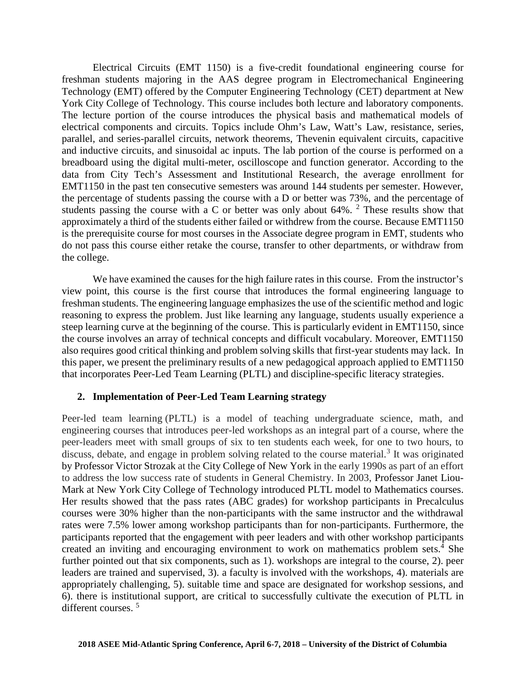Electrical Circuits (EMT 1150) is a five-credit foundational engineering course for freshman students majoring in the AAS degree program in Electromechanical Engineering Technology (EMT) offered by the Computer Engineering Technology (CET) department at New York City College of Technology. This course includes both lecture and laboratory components. The lecture portion of the course introduces the physical basis and mathematical models of electrical components and circuits. Topics include Ohm's Law, Watt's Law, resistance, series, parallel, and series-parallel circuits, network theorems, Thevenin equivalent circuits, capacitive and inductive circuits, and sinusoidal ac inputs. The lab portion of the course is performed on a breadboard using the digital multi-meter, oscilloscope and function generator. According to the data from City Tech's Assessment and Institutional Research, the average enrollment for EMT1150 in the past ten consecutive semesters was around 144 students per semester. However, the percentage of students passing the course with a D or better was 73%, and the percentage of students passing the course with a C or better was only about 64%. <sup>2</sup> These results show that approximately a third of the students either failed or withdrew from the course. Because EMT1150 is the prerequisite course for most courses in the Associate degree program in EMT, students who do not pass this course either retake the course, transfer to other departments, or withdraw from the college.

We have examined the causes for the high failure rates in this course. From the instructor's view point, this course is the first course that introduces the formal engineering language to freshman students. The engineering language emphasizes the use of the scientific method and logic reasoning to express the problem. Just like learning any language, students usually experience a steep learning curve at the beginning of the course. This is particularly evident in EMT1150, since the course involves an array of technical concepts and difficult vocabulary. Moreover, EMT1150 also requires good critical thinking and problem solving skills that first-year students may lack. In this paper, we present the preliminary results of a new pedagogical approach applied to EMT1150 that incorporates Peer-Led Team Learning (PLTL) and discipline-specific literacy strategies.

## **2. Implementation of Peer-Led Team Learning strategy**

Peer-led team learning (PLTL) is a model of teaching undergraduate science, math, and engineering courses that introduces peer-led workshops as an integral part of a course, where the peer-leaders meet with small groups of six to ten students each week, for one to two hours, to discuss, debate, and engage in problem solving related to the course material.<sup>3</sup> It was originated by Professor Victor Strozak at the City College of New York in the early 1990s as part of an effort to address the low success rate of students in General Chemistry. In 2003, Professor Janet Liou- Mark at New York City College of Technology introduced PLTL model to Mathematics courses. Her results showed that the pass rates (ABC grades) for workshop participants in Precalculus courses were 30% higher than the non-participants with the same instructor and the withdrawal rates were 7.5% lower among workshop participants than for non-participants. Furthermore, the participants reported that the engagement with peer leaders and with other workshop participants created an inviting and encouraging environment to work on mathematics problem sets.<sup>4</sup> She further pointed out that six components, such as 1). workshops are integral to the course, 2). peer leaders are trained and supervised, 3). a faculty is involved with the workshops, 4). materials are appropriately challenging, 5). suitable time and space are designated for workshop sessions, and 6). there is institutional support, are critical to successfully cultivate the execution of PLTL in different courses. <sup>5</sup>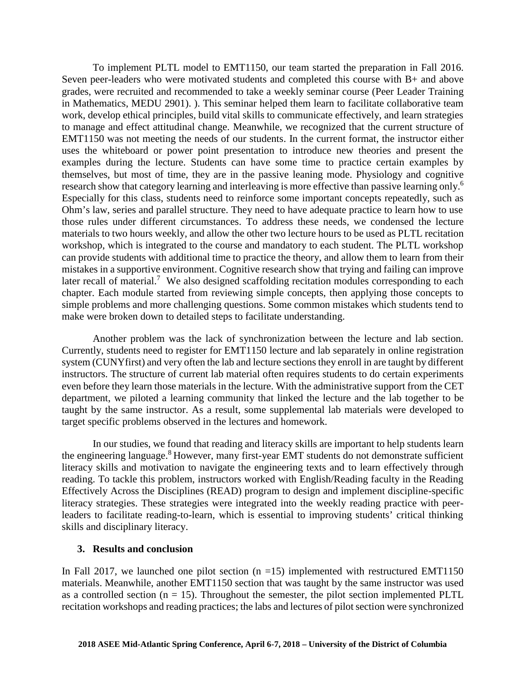To implement PLTL model to EMT1150, our team started the preparation in Fall 2016. Seven peer-leaders who were motivated students and completed this course with B+ and above grades, were recruited and recommended to take a weekly seminar course (Peer Leader Training in Mathematics, MEDU 2901). ). This seminar helped them learn to facilitate collaborative team work, develop ethical principles, build vital skills to communicate effectively, and learn strategies to manage and effect attitudinal change. Meanwhile, we recognized that the current structure of EMT1150 was not meeting the needs of our students. In the current format, the instructor either uses the whiteboard or power point presentation to introduce new theories and present the examples during the lecture. Students can have some time to practice certain examples by themselves, but most of time, they are in the passive leaning mode. Physiology and cognitive research show that category learning and interleaving is more effective than passive learning only.<sup>6</sup> Especially for this class, students need to reinforce some important concepts repeatedly, such as Ohm's law, series and parallel structure. They need to have adequate practice to learn how to use those rules under different circumstances. To address these needs, we condensed the lecture materials to two hours weekly, and allow the other two lecture hours to be used as PLTL recitation workshop, which is integrated to the course and mandatory to each student. The PLTL workshop can provide students with additional time to practice the theory, and allow them to learn from their mistakes in a supportive environment. Cognitive research show that trying and failing can improve later recall of material.<sup>7</sup> We also designed scaffolding recitation modules corresponding to each chapter. Each module started from reviewing simple concepts, then applying those concepts to simple problems and more challenging questions. Some common mistakes which students tend to make were broken down to detailed steps to facilitate understanding.

Another problem was the lack of synchronization between the lecture and lab section. Currently, students need to register for EMT1150 lecture and lab separately in online registration system (CUNYfirst) and very often the lab and lecture sections they enroll in are taught by different instructors. The structure of current lab material often requires students to do certain experiments even before they learn those materials in the lecture. With the administrative support from the CET department, we piloted a learning community that linked the lecture and the lab together to be taught by the same instructor. As a result, some supplemental lab materials were developed to target specific problems observed in the lectures and homework.

In our studies, we found that reading and literacy skills are important to help students learn the engineering language.<sup>8</sup> However, many first-year EMT students do not demonstrate sufficient literacy skills and motivation to navigate the engineering texts and to learn effectively through reading. To tackle this problem, instructors worked with English/Reading faculty in the Reading Effectively Across the Disciplines (READ) program to design and implement discipline-specific literacy strategies. These strategies were integrated into the weekly reading practice with peerleaders to facilitate reading-to-learn, which is essential to improving students' critical thinking skills and disciplinary literacy.

## **3. Results and conclusion**

In Fall 2017, we launched one pilot section  $(n = 15)$  implemented with restructured EMT1150 materials. Meanwhile, another EMT1150 section that was taught by the same instructor was used as a controlled section ( $n = 15$ ). Throughout the semester, the pilot section implemented PLTL recitation workshops and reading practices; the labs and lectures of pilot section were synchronized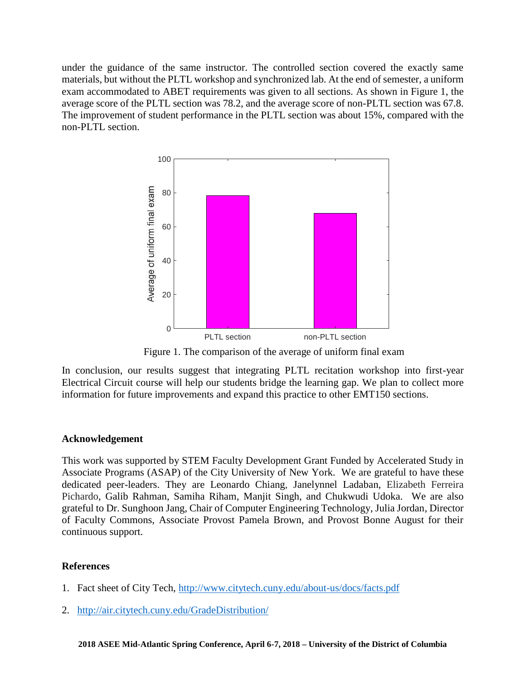under the guidance of the same instructor. The controlled section covered the exactly same materials, but without the PLTL workshop and synchronized lab. At the end of semester, a uniform exam accommodated to ABET requirements was given to all sections. As shown in Figure 1, the average score of the PLTL section was 78.2, and the average score of non-PLTL section was 67.8. The improvement of student performance in the PLTL section was about 15%, compared with the non-PLTL section.



Figure 1. The comparison of the average of uniform final exam

In conclusion, our results suggest that integrating PLTL recitation workshop into first-year Electrical Circuit course will help our students bridge the learning gap. We plan to collect more information for future improvements and expand this practice to other EMT150 sections.

## **Acknowledgement**

This work was supported by STEM Faculty Development Grant Funded by Accelerated Study in Associate Programs (ASAP) of the City University of New York. We are grateful to have these dedicated peer-leaders. They are Leonardo Chiang, Janelynnel Ladaban, Elizabeth Ferreira Pichardo, Galib Rahman, Samiha Riham, Manjit Singh, and Chukwudi Udoka. We are also grateful to Dr. Sunghoon Jang, Chair of Computer Engineering Technology, Julia Jordan, Director of Faculty Commons, Associate Provost Pamela Brown, and Provost Bonne August for their continuous support.

## **References**

- 1. Fact sheet of City Tech, http://www.citytech.cuny.edu/about-us/docs/facts.pdf
- 2. http://air.citytech.cuny.edu/GradeDistribution/